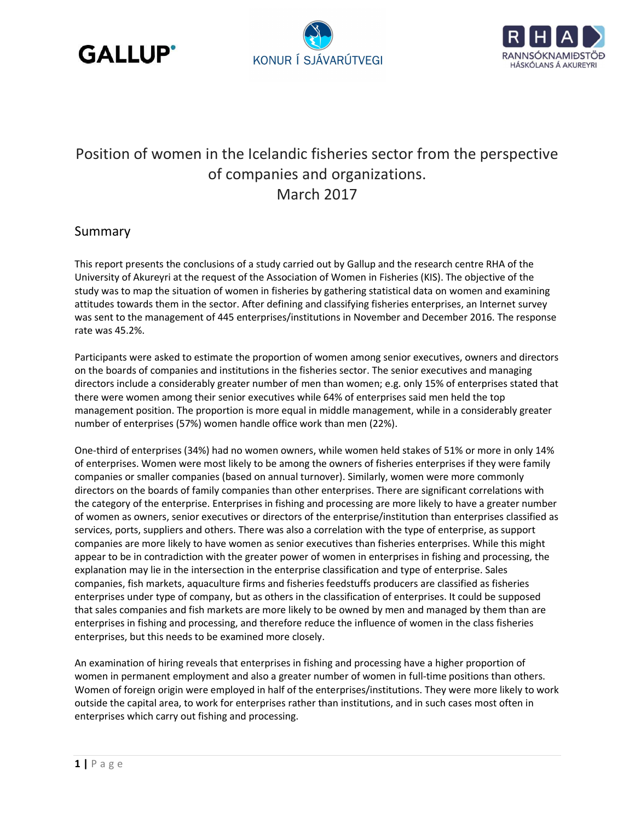





## Position of women in the Icelandic fisheries sector from the perspective of companies and organizations. March 2017

## Summary

This report presents the conclusions of a study carried out by Gallup and the research centre RHA of the University of Akureyri at the request of the Association of Women in Fisheries (KIS). The objective of the study was to map the situation of women in fisheries by gathering statistical data on women and examining attitudes towards them in the sector. After defining and classifying fisheries enterprises, an Internet survey was sent to the management of 445 enterprises/institutions in November and December 2016. The response rate was 45.2%.

Participants were asked to estimate the proportion of women among senior executives, owners and directors on the boards of companies and institutions in the fisheries sector. The senior executives and managing directors include a considerably greater number of men than women; e.g. only 15% of enterprises stated that there were women among their senior executives while 64% of enterprises said men held the top management position. The proportion is more equal in middle management, while in a considerably greater number of enterprises (57%) women handle office work than men (22%).

One-third of enterprises (34%) had no women owners, while women held stakes of 51% or more in only 14% of enterprises. Women were most likely to be among the owners of fisheries enterprises if they were family companies or smaller companies (based on annual turnover). Similarly, women were more commonly directors on the boards of family companies than other enterprises. There are significant correlations with the category of the enterprise. Enterprises in fishing and processing are more likely to have a greater number of women as owners, senior executives or directors of the enterprise/institution than enterprises classified as services, ports, suppliers and others. There was also a correlation with the type of enterprise, as support companies are more likely to have women as senior executives than fisheries enterprises. While this might appear to be in contradiction with the greater power of women in enterprises in fishing and processing, the explanation may lie in the intersection in the enterprise classification and type of enterprise. Sales companies, fish markets, aquaculture firms and fisheries feedstuffs producers are classified as fisheries enterprises under type of company, but as others in the classification of enterprises. It could be supposed that sales companies and fish markets are more likely to be owned by men and managed by them than are enterprises in fishing and processing, and therefore reduce the influence of women in the class fisheries enterprises, but this needs to be examined more closely.

An examination of hiring reveals that enterprises in fishing and processing have a higher proportion of women in permanent employment and also a greater number of women in full-time positions than others. Women of foreign origin were employed in half of the enterprises/institutions. They were more likely to work outside the capital area, to work for enterprises rather than institutions, and in such cases most often in enterprises which carry out fishing and processing.